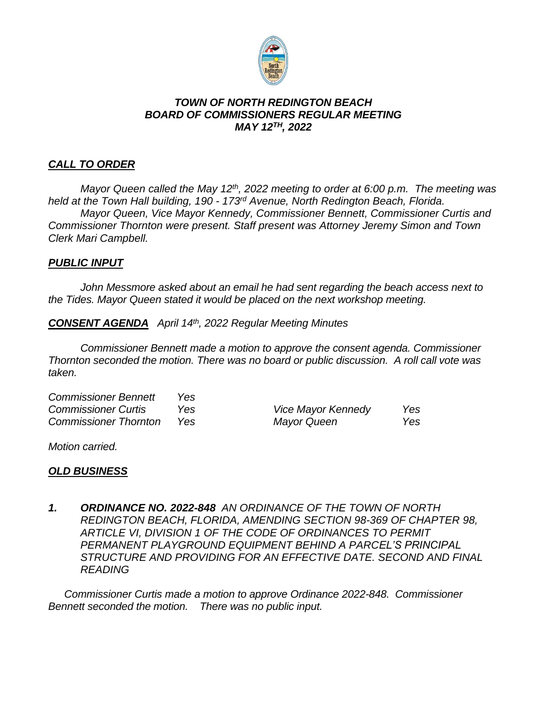

### *TOWN OF NORTH REDINGTON BEACH BOARD OF COMMISSIONERS REGULAR MEETING MAY 12TH, 2022*

# *CALL TO ORDER*

*Mayor Queen called the May 12th, 2022 meeting to order at 6:00 p.m. The meeting was held at the Town Hall building, 190 - 173 rd Avenue, North Redington Beach, Florida. Mayor Queen, Vice Mayor Kennedy, Commissioner Bennett, Commissioner Curtis and Commissioner Thornton were present. Staff present was Attorney Jeremy Simon and Town Clerk Mari Campbell.*

## *PUBLIC INPUT*

*John Messmore asked about an email he had sent regarding the beach access next to the Tides. Mayor Queen stated it would be placed on the next workshop meeting.*

*CONSENT AGENDA April 14th, 2022 Regular Meeting Minutes*

*Commissioner Bennett made a motion to approve the consent agenda. Commissioner Thornton seconded the motion. There was no board or public discussion. A roll call vote was taken.*

*Commissioner Bennett Yes*

*Commissioner Curtis Yes Vice Mayor Kennedy Yes Commissioner Thornton Yes Mayor Queen Yes*

*Motion carried.*

## *OLD BUSINESS*

*1. ORDINANCE NO. 2022-848 AN ORDINANCE OF THE TOWN OF NORTH REDINGTON BEACH, FLORIDA, AMENDING SECTION 98-369 OF CHAPTER 98, ARTICLE VI, DIVISION 1 OF THE CODE OF ORDINANCES TO PERMIT PERMANENT PLAYGROUND EQUIPMENT BEHIND A PARCEL'S PRINCIPAL STRUCTURE AND PROVIDING FOR AN EFFECTIVE DATE. SECOND AND FINAL READING*

*Commissioner Curtis made a motion to approve Ordinance 2022-848. Commissioner Bennett seconded the motion. There was no public input.*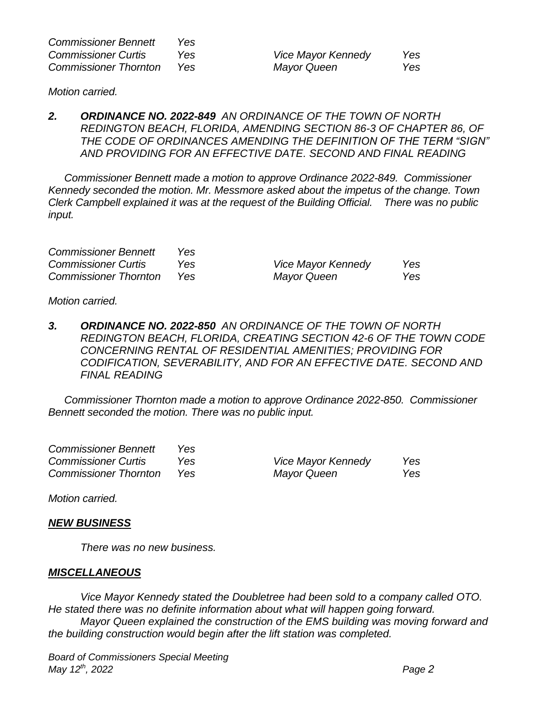| <b>Commissioner Bennett</b>  | Yes |
|------------------------------|-----|
| <b>Commissioner Curtis</b>   | Yes |
| <b>Commissioner Thornton</b> | Yes |

*Commissioner Curtis Yes Vice Mayor Kennedy Yes Commissioner Thornton Yes Mayor Queen Yes*

*Motion carried.*

*2. ORDINANCE NO. 2022-849 AN ORDINANCE OF THE TOWN OF NORTH REDINGTON BEACH, FLORIDA, AMENDING SECTION 86-3 OF CHAPTER 86, OF THE CODE OF ORDINANCES AMENDING THE DEFINITION OF THE TERM "SIGN" AND PROVIDING FOR AN EFFECTIVE DATE. SECOND AND FINAL READING*

*Commissioner Bennett made a motion to approve Ordinance 2022-849. Commissioner Kennedy seconded the motion. Mr. Messmore asked about the impetus of the change. Town Clerk Campbell explained it was at the request of the Building Official. There was no public input.*

| <b>Commissioner Bennett</b>  | Yes. |                    |     |
|------------------------------|------|--------------------|-----|
| <b>Commissioner Curtis</b>   | Yes. | Vice Mayor Kennedy | Yes |
| <b>Commissioner Thornton</b> | Yes. | Mayor Queen        | Yes |

*Motion carried.*

*3. ORDINANCE NO. 2022-850 AN ORDINANCE OF THE TOWN OF NORTH REDINGTON BEACH, FLORIDA, CREATING SECTION 42-6 OF THE TOWN CODE CONCERNING RENTAL OF RESIDENTIAL AMENITIES; PROVIDING FOR CODIFICATION, SEVERABILITY, AND FOR AN EFFECTIVE DATE. SECOND AND FINAL READING*

*Commissioner Thornton made a motion to approve Ordinance 2022-850. Commissioner Bennett seconded the motion. There was no public input.*

| <b>Commissioner Bennett</b>  | Yes. |                           |     |
|------------------------------|------|---------------------------|-----|
| <b>Commissioner Curtis</b>   | Yes. | <b>Vice Mayor Kennedy</b> | Yes |
| <b>Commissioner Thornton</b> | Yes. | Mayor Queen               | Yes |

*Motion carried.*

#### *NEW BUSINESS*

*There was no new business.*

#### *MISCELLANEOUS*

*Vice Mayor Kennedy stated the Doubletree had been sold to a company called OTO. He stated there was no definite information about what will happen going forward. Mayor Queen explained the construction of the EMS building was moving forward and the building construction would begin after the lift station was completed.*